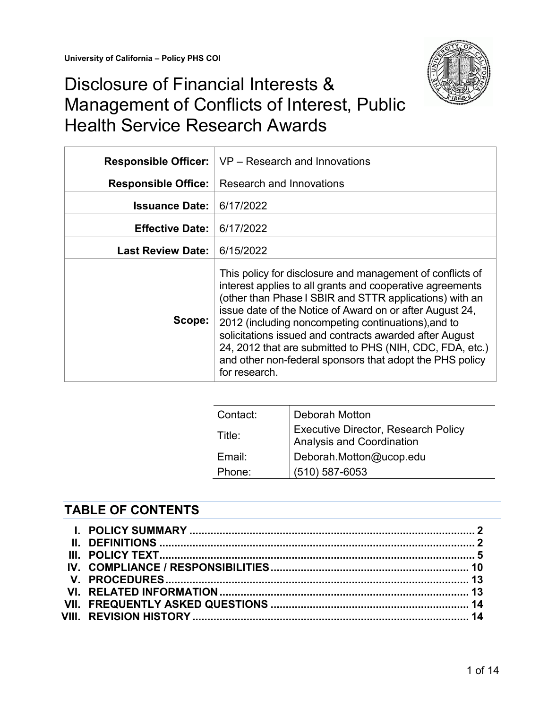

# Disclosure of Financial Interests & Management of Conflicts of Interest, Public Health Service Research Awards

| <b>Responsible Officer:</b> | VP – Research and Innovations                                                                                                                                                                                                                                                                                                                                                                                                                                                                            |
|-----------------------------|----------------------------------------------------------------------------------------------------------------------------------------------------------------------------------------------------------------------------------------------------------------------------------------------------------------------------------------------------------------------------------------------------------------------------------------------------------------------------------------------------------|
| <b>Responsible Office:</b>  | Research and Innovations                                                                                                                                                                                                                                                                                                                                                                                                                                                                                 |
| <b>Issuance Date:</b>       | 6/17/2022                                                                                                                                                                                                                                                                                                                                                                                                                                                                                                |
| <b>Effective Date:</b>      | 6/17/2022                                                                                                                                                                                                                                                                                                                                                                                                                                                                                                |
| <b>Last Review Date:</b>    | 6/15/2022                                                                                                                                                                                                                                                                                                                                                                                                                                                                                                |
| Scope:                      | This policy for disclosure and management of conflicts of<br>interest applies to all grants and cooperative agreements<br>(other than Phase I SBIR and STTR applications) with an<br>issue date of the Notice of Award on or after August 24,<br>2012 (including noncompeting continuations), and to<br>solicitations issued and contracts awarded after August<br>24, 2012 that are submitted to PHS (NIH, CDC, FDA, etc.)<br>and other non-federal sponsors that adopt the PHS policy<br>for research. |

| Contact: | Deborah Motton                                                   |
|----------|------------------------------------------------------------------|
| Title:   | Executive Director, Research Policy<br>Analysis and Coordination |
| Email:   | Deborah.Motton@ucop.edu                                          |
| Phone:   | $(510) 587 - 6053$                                               |

## **TABLE OF CONTENTS**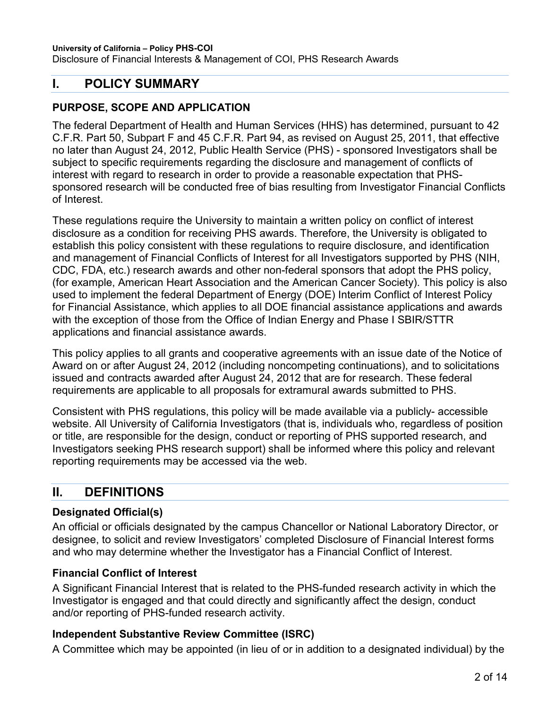Disclosure of Financial Interests & Management of COI, PHS Research Awards

## <span id="page-1-0"></span>**I. POLICY SUMMARY**

#### **PURPOSE, SCOPE AND APPLICATION**

The federal Department of Health and Human Services (HHS) has determined, pursuant to 42 C.F.R. Part 50, Subpart F and 45 C.F.R. Part 94, as revised on August 25, 2011, that effective no later than August 24, 2012, Public Health Service (PHS) - sponsored Investigators shall be subject to specific requirements regarding the disclosure and management of conflicts of interest with regard to research in order to provide a reasonable expectation that PHSsponsored research will be conducted free of bias resulting from Investigator Financial Conflicts of Interest.

These regulations require the University to maintain a written policy on conflict of interest disclosure as a condition for receiving PHS awards. Therefore, the University is obligated to establish this policy consistent with these regulations to require disclosure, and identification and management of Financial Conflicts of Interest for all Investigators supported by PHS (NIH, CDC, FDA, etc.) research awards and other non-federal sponsors that adopt the PHS policy, (for example, American Heart Association and the American Cancer Society). This policy is also used to implement the federal Department of Energy (DOE) Interim Conflict of Interest Policy for Financial Assistance, which applies to all DOE financial assistance applications and awards with the exception of those from the Office of Indian Energy and Phase I SBIR/STTR applications and financial assistance awards.

This policy applies to all grants and cooperative agreements with an issue date of the Notice of Award on or after August 24, 2012 (including noncompeting continuations), and to solicitations issued and contracts awarded after August 24, 2012 that are for research. These federal requirements are applicable to all proposals for extramural awards submitted to PHS.

Consistent with PHS regulations, this policy will be made available via a publicly- accessible website. All University of California Investigators (that is, individuals who, regardless of position or title, are responsible for the design, conduct or reporting of PHS supported research, and Investigators seeking PHS research support) shall be informed where this policy and relevant reporting requirements may be accessed via the web.

## <span id="page-1-1"></span>**II. DEFINITIONS**

### **Designated Official(s)**

An official or officials designated by the campus Chancellor or National Laboratory Director, or designee, to solicit and review Investigators' completed Disclosure of Financial Interest forms and who may determine whether the Investigator has a Financial Conflict of Interest.

### **Financial Conflict of Interest**

A Significant Financial Interest that is related to the PHS-funded research activity in which the Investigator is engaged and that could directly and significantly affect the design, conduct and/or reporting of PHS-funded research activity.

### **Independent Substantive Review Committee (ISRC)**

A Committee which may be appointed (in lieu of or in addition to a designated individual) by the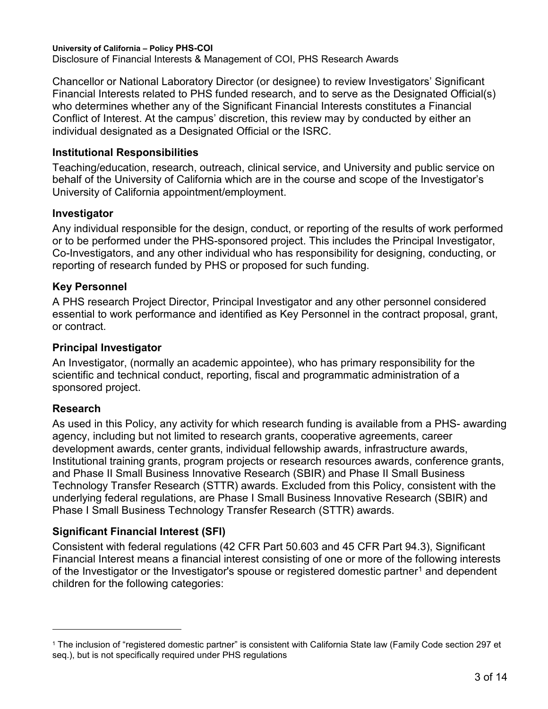Disclosure of Financial Interests & Management of COI, PHS Research Awards

Chancellor or National Laboratory Director (or designee) to review Investigators' Significant Financial Interests related to PHS funded research, and to serve as the Designated Official(s) who determines whether any of the Significant Financial Interests constitutes a Financial Conflict of Interest. At the campus' discretion, this review may by conducted by either an individual designated as a Designated Official or the ISRC.

#### **Institutional Responsibilities**

Teaching/education, research, outreach, clinical service, and University and public service on behalf of the University of California which are in the course and scope of the Investigator's University of California appointment/employment.

#### **Investigator**

Any individual responsible for the design, conduct, or reporting of the results of work performed or to be performed under the PHS-sponsored project. This includes the Principal Investigator, Co-Investigators, and any other individual who has responsibility for designing, conducting, or reporting of research funded by PHS or proposed for such funding.

### **Key Personnel**

A PHS research Project Director, Principal Investigator and any other personnel considered essential to work performance and identified as Key Personnel in the contract proposal, grant, or contract.

#### **Principal Investigator**

An Investigator, (normally an academic appointee), who has primary responsibility for the scientific and technical conduct, reporting, fiscal and programmatic administration of a sponsored project.

### **Research**

 $\overline{a}$ 

As used in this Policy, any activity for which research funding is available from a PHS- awarding agency, including but not limited to research grants, cooperative agreements, career development awards, center grants, individual fellowship awards, infrastructure awards, Institutional training grants, program projects or research resources awards, conference grants, and Phase II Small Business Innovative Research (SBIR) and Phase II Small Business Technology Transfer Research (STTR) awards. Excluded from this Policy, consistent with the underlying federal regulations, are Phase I Small Business Innovative Research (SBIR) and Phase I Small Business Technology Transfer Research (STTR) awards.

### **Significant Financial Interest (SFI)**

Consistent with federal regulations (42 CFR Part 50.603 and 45 CFR Part 94.3), Significant Financial Interest means a financial interest consisting of one or more of the following interests of the Investigator or the Investigator's spouse or registered domestic partner<sup>[1](#page-2-0)</sup> and dependent children for the following categories:

<span id="page-2-0"></span><sup>1</sup> The inclusion of "registered domestic partner" is consistent with California State law (Family Code section 297 et seq.), but is not specifically required under PHS regulations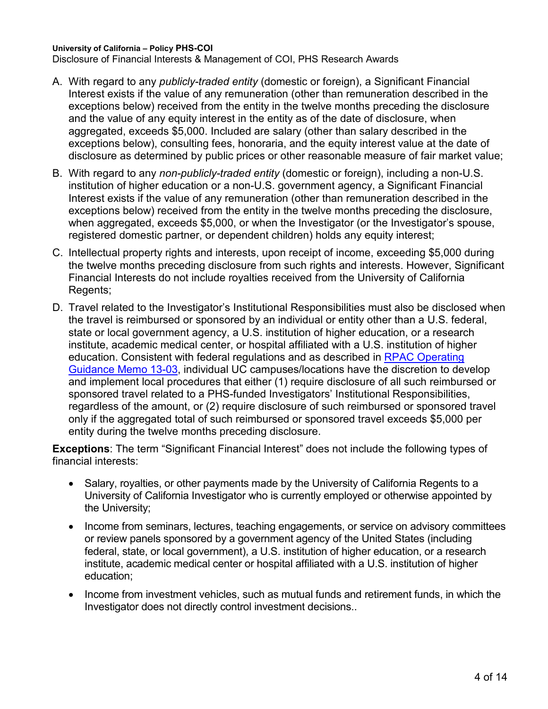Disclosure of Financial Interests & Management of COI, PHS Research Awards

- A. With regard to any *publicly-traded entity* (domestic or foreign), a Significant Financial Interest exists if the value of any remuneration (other than remuneration described in the exceptions below) received from the entity in the twelve months preceding the disclosure and the value of any equity interest in the entity as of the date of disclosure, when aggregated, exceeds \$5,000. Included are salary (other than salary described in the exceptions below), consulting fees, honoraria, and the equity interest value at the date of disclosure as determined by public prices or other reasonable measure of fair market value;
- B. With regard to any *non-publicly-traded entity* (domestic or foreign), including a non-U.S. institution of higher education or a non-U.S. government agency, a Significant Financial Interest exists if the value of any remuneration (other than remuneration described in the exceptions below) received from the entity in the twelve months preceding the disclosure, when aggregated, exceeds \$5,000, or when the Investigator (or the Investigator's spouse, registered domestic partner, or dependent children) holds any equity interest;
- C. Intellectual property rights and interests, upon receipt of income, exceeding \$5,000 during the twelve months preceding disclosure from such rights and interests. However, Significant Financial Interests do not include royalties received from the University of California Regents;
- D. Travel related to the Investigator's Institutional Responsibilities must also be disclosed when the travel is reimbursed or sponsored by an individual or entity other than a U.S. federal, state or local government agency, a U.S. institution of higher education, or a research institute, academic medical center, or hospital affiliated with a U.S. institution of higher education. Consistent with federal regulations and as described in [RPAC Operating](https://researchmemos.ucop.edu/index.php/site/memoDetail/memo_id/RPAC-13-03)  [Guidance Memo 13-03,](https://researchmemos.ucop.edu/index.php/site/memoDetail/memo_id/RPAC-13-03) individual UC campuses/locations have the discretion to develop and implement local procedures that either (1) require disclosure of all such reimbursed or sponsored travel related to a PHS-funded Investigators' Institutional Responsibilities, regardless of the amount, or (2) require disclosure of such reimbursed or sponsored travel only if the aggregated total of such reimbursed or sponsored travel exceeds \$5,000 per entity during the twelve months preceding disclosure.

**Exceptions**: The term "Significant Financial Interest" does not include the following types of financial interests:

- Salary, royalties, or other payments made by the University of California Regents to a University of California Investigator who is currently employed or otherwise appointed by the University;
- Income from seminars, lectures, teaching engagements, or service on advisory committees or review panels sponsored by a government agency of the United States (including federal, state, or local government), a U.S. institution of higher education, or a research institute, academic medical center or hospital affiliated with a U.S. institution of higher education;
- Income from investment vehicles, such as mutual funds and retirement funds, in which the Investigator does not directly control investment decisions..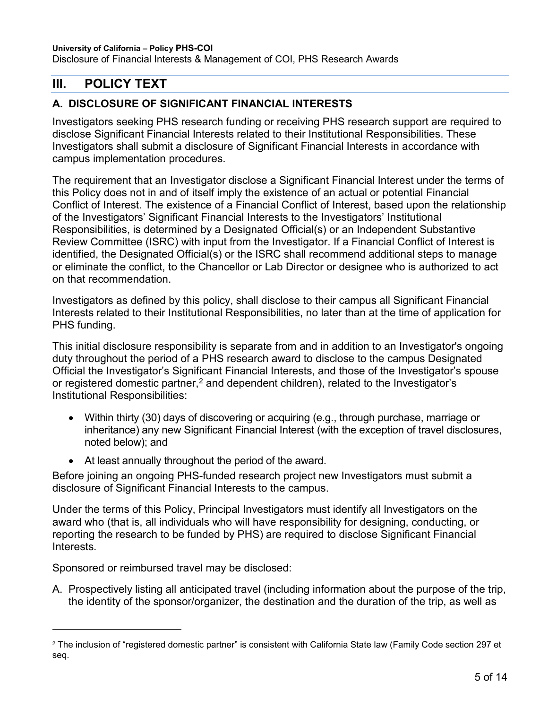Disclosure of Financial Interests & Management of COI, PHS Research Awards

## <span id="page-4-0"></span>**III. POLICY TEXT**

### **A. DISCLOSURE OF SIGNIFICANT FINANCIAL INTERESTS**

Investigators seeking PHS research funding or receiving PHS research support are required to disclose Significant Financial Interests related to their Institutional Responsibilities. These Investigators shall submit a disclosure of Significant Financial Interests in accordance with campus implementation procedures.

The requirement that an Investigator disclose a Significant Financial Interest under the terms of this Policy does not in and of itself imply the existence of an actual or potential Financial Conflict of Interest. The existence of a Financial Conflict of Interest, based upon the relationship of the Investigators' Significant Financial Interests to the Investigators' Institutional Responsibilities, is determined by a Designated Official(s) or an Independent Substantive Review Committee (ISRC) with input from the Investigator. If a Financial Conflict of Interest is identified, the Designated Official(s) or the ISRC shall recommend additional steps to manage or eliminate the conflict, to the Chancellor or Lab Director or designee who is authorized to act on that recommendation.

Investigators as defined by this policy, shall disclose to their campus all Significant Financial Interests related to their Institutional Responsibilities, no later than at the time of application for PHS funding.

This initial disclosure responsibility is separate from and in addition to an Investigator's ongoing duty throughout the period of a PHS research award to disclose to the campus Designated Official the Investigator's Significant Financial Interests, and those of the Investigator's spouse or registered domestic partner, $^2$  $^2$  and dependent children), related to the Investigator's Institutional Responsibilities:

- Within thirty (30) days of discovering or acquiring (e.g., through purchase, marriage or inheritance) any new Significant Financial Interest (with the exception of travel disclosures, noted below); and
- At least annually throughout the period of the award.

Before joining an ongoing PHS-funded research project new Investigators must submit a disclosure of Significant Financial Interests to the campus.

Under the terms of this Policy, Principal Investigators must identify all Investigators on the award who (that is, all individuals who will have responsibility for designing, conducting, or reporting the research to be funded by PHS) are required to disclose Significant Financial Interests.

Sponsored or reimbursed travel may be disclosed:

 $\overline{a}$ 

A. Prospectively listing all anticipated travel (including information about the purpose of the trip, the identity of the sponsor/organizer, the destination and the duration of the trip, as well as

<span id="page-4-1"></span><sup>&</sup>lt;sup>2</sup> The inclusion of "registered domestic partner" is consistent with California State law (Family Code section 297 et seq.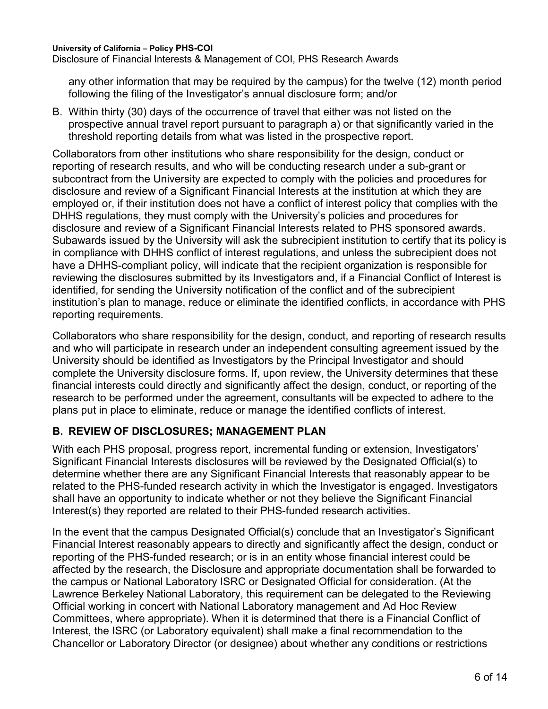Disclosure of Financial Interests & Management of COI, PHS Research Awards

any other information that may be required by the campus) for the twelve (12) month period following the filing of the Investigator's annual disclosure form; and/or

B. Within thirty (30) days of the occurrence of travel that either was not listed on the prospective annual travel report pursuant to paragraph a) or that significantly varied in the threshold reporting details from what was listed in the prospective report.

Collaborators from other institutions who share responsibility for the design, conduct or reporting of research results, and who will be conducting research under a sub-grant or subcontract from the University are expected to comply with the policies and procedures for disclosure and review of a Significant Financial Interests at the institution at which they are employed or, if their institution does not have a conflict of interest policy that complies with the DHHS regulations, they must comply with the University's policies and procedures for disclosure and review of a Significant Financial Interests related to PHS sponsored awards. Subawards issued by the University will ask the subrecipient institution to certify that its policy is in compliance with DHHS conflict of interest regulations, and unless the subrecipient does not have a DHHS-compliant policy, will indicate that the recipient organization is responsible for reviewing the disclosures submitted by its Investigators and, if a Financial Conflict of Interest is identified, for sending the University notification of the conflict and of the subrecipient institution's plan to manage, reduce or eliminate the identified conflicts, in accordance with PHS reporting requirements.

Collaborators who share responsibility for the design, conduct, and reporting of research results and who will participate in research under an independent consulting agreement issued by the University should be identified as Investigators by the Principal Investigator and should complete the University disclosure forms. If, upon review, the University determines that these financial interests could directly and significantly affect the design, conduct, or reporting of the research to be performed under the agreement, consultants will be expected to adhere to the plans put in place to eliminate, reduce or manage the identified conflicts of interest.

### **B. REVIEW OF DISCLOSURES; MANAGEMENT PLAN**

With each PHS proposal, progress report, incremental funding or extension, Investigators' Significant Financial Interests disclosures will be reviewed by the Designated Official(s) to determine whether there are any Significant Financial Interests that reasonably appear to be related to the PHS-funded research activity in which the Investigator is engaged. Investigators shall have an opportunity to indicate whether or not they believe the Significant Financial Interest(s) they reported are related to their PHS-funded research activities.

In the event that the campus Designated Official(s) conclude that an Investigator's Significant Financial Interest reasonably appears to directly and significantly affect the design, conduct or reporting of the PHS-funded research; or is in an entity whose financial interest could be affected by the research, the Disclosure and appropriate documentation shall be forwarded to the campus or National Laboratory ISRC or Designated Official for consideration. (At the Lawrence Berkeley National Laboratory, this requirement can be delegated to the Reviewing Official working in concert with National Laboratory management and Ad Hoc Review Committees, where appropriate). When it is determined that there is a Financial Conflict of Interest, the ISRC (or Laboratory equivalent) shall make a final recommendation to the Chancellor or Laboratory Director (or designee) about whether any conditions or restrictions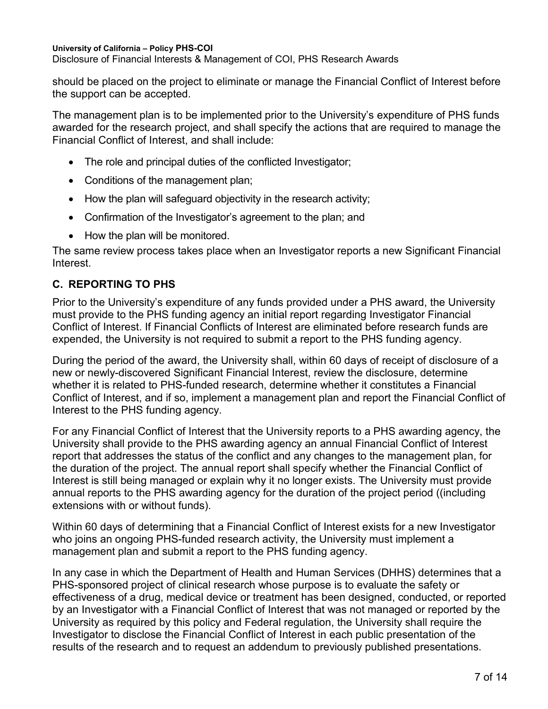Disclosure of Financial Interests & Management of COI, PHS Research Awards

should be placed on the project to eliminate or manage the Financial Conflict of Interest before the support can be accepted.

The management plan is to be implemented prior to the University's expenditure of PHS funds awarded for the research project, and shall specify the actions that are required to manage the Financial Conflict of Interest, and shall include:

- The role and principal duties of the conflicted Investigator;
- Conditions of the management plan;
- How the plan will safeguard objectivity in the research activity;
- Confirmation of the Investigator's agreement to the plan; and
- How the plan will be monitored.

The same review process takes place when an Investigator reports a new Significant Financial **Interest** 

### **C. REPORTING TO PHS**

Prior to the University's expenditure of any funds provided under a PHS award, the University must provide to the PHS funding agency an initial report regarding Investigator Financial Conflict of Interest. If Financial Conflicts of Interest are eliminated before research funds are expended, the University is not required to submit a report to the PHS funding agency.

During the period of the award, the University shall, within 60 days of receipt of disclosure of a new or newly-discovered Significant Financial Interest, review the disclosure, determine whether it is related to PHS-funded research, determine whether it constitutes a Financial Conflict of Interest, and if so, implement a management plan and report the Financial Conflict of Interest to the PHS funding agency.

For any Financial Conflict of Interest that the University reports to a PHS awarding agency, the University shall provide to the PHS awarding agency an annual Financial Conflict of Interest report that addresses the status of the conflict and any changes to the management plan, for the duration of the project. The annual report shall specify whether the Financial Conflict of Interest is still being managed or explain why it no longer exists. The University must provide annual reports to the PHS awarding agency for the duration of the project period ((including extensions with or without funds).

Within 60 days of determining that a Financial Conflict of Interest exists for a new Investigator who joins an ongoing PHS-funded research activity, the University must implement a management plan and submit a report to the PHS funding agency.

In any case in which the Department of Health and Human Services (DHHS) determines that a PHS-sponsored project of clinical research whose purpose is to evaluate the safety or effectiveness of a drug, medical device or treatment has been designed, conducted, or reported by an Investigator with a Financial Conflict of Interest that was not managed or reported by the University as required by this policy and Federal regulation, the University shall require the Investigator to disclose the Financial Conflict of Interest in each public presentation of the results of the research and to request an addendum to previously published presentations.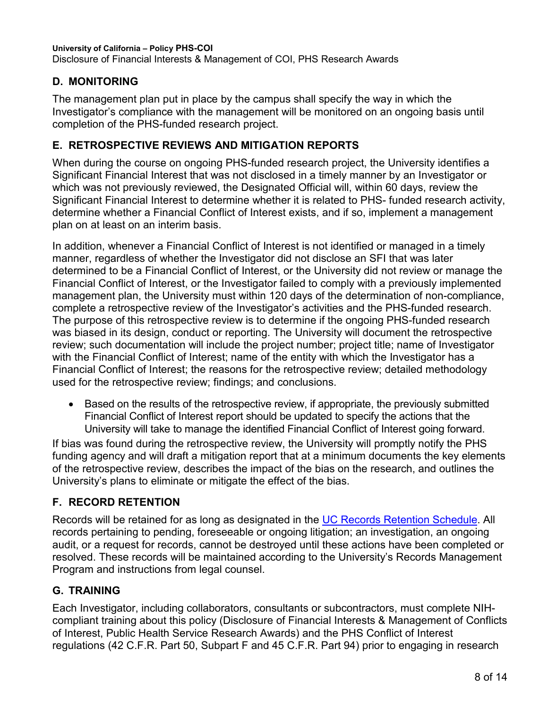#### **University of California – Policy PHS-COI** Disclosure of Financial Interests & Management of COI, PHS Research Awards

## **D. MONITORING**

The management plan put in place by the campus shall specify the way in which the Investigator's compliance with the management will be monitored on an ongoing basis until completion of the PHS-funded research project.

### **E. RETROSPECTIVE REVIEWS AND MITIGATION REPORTS**

When during the course on ongoing PHS-funded research project, the University identifies a Significant Financial Interest that was not disclosed in a timely manner by an Investigator or which was not previously reviewed, the Designated Official will, within 60 days, review the Significant Financial Interest to determine whether it is related to PHS- funded research activity, determine whether a Financial Conflict of Interest exists, and if so, implement a management plan on at least on an interim basis.

In addition, whenever a Financial Conflict of Interest is not identified or managed in a timely manner, regardless of whether the Investigator did not disclose an SFI that was later determined to be a Financial Conflict of Interest, or the University did not review or manage the Financial Conflict of Interest, or the Investigator failed to comply with a previously implemented management plan, the University must within 120 days of the determination of non-compliance, complete a retrospective review of the Investigator's activities and the PHS-funded research. The purpose of this retrospective review is to determine if the ongoing PHS-funded research was biased in its design, conduct or reporting. The University will document the retrospective review; such documentation will include the project number; project title; name of Investigator with the Financial Conflict of Interest; name of the entity with which the Investigator has a Financial Conflict of Interest; the reasons for the retrospective review; detailed methodology used for the retrospective review; findings; and conclusions.

• Based on the results of the retrospective review, if appropriate, the previously submitted Financial Conflict of Interest report should be updated to specify the actions that the University will take to manage the identified Financial Conflict of Interest going forward.

If bias was found during the retrospective review, the University will promptly notify the PHS funding agency and will draft a mitigation report that at a minimum documents the key elements of the retrospective review, describes the impact of the bias on the research, and outlines the University's plans to eliminate or mitigate the effect of the bias.

### **F. RECORD RETENTION**

Records will be retained for as long as designated in the [UC Records Retention Schedule.](https://recordsretention.ucop.edu/) All records pertaining to pending, foreseeable or ongoing litigation; an investigation, an ongoing audit, or a request for records, cannot be destroyed until these actions have been completed or resolved. These records will be maintained according to the University's Records Management Program and instructions from legal counsel.

## **G. TRAINING**

Each Investigator, including collaborators, consultants or subcontractors, must complete NIHcompliant training about this policy (Disclosure of Financial Interests & Management of Conflicts of Interest, Public Health Service Research Awards) and the PHS Conflict of Interest regulations (42 C.F.R. Part 50, Subpart F and 45 C.F.R. Part 94) prior to engaging in research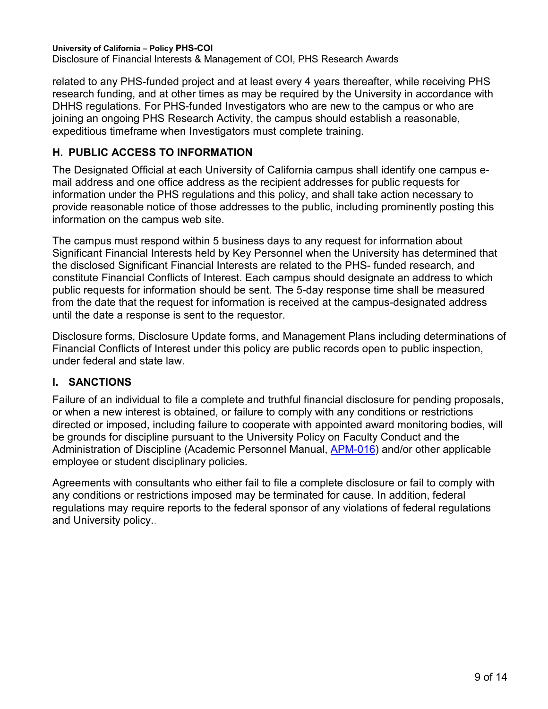Disclosure of Financial Interests & Management of COI, PHS Research Awards

related to any PHS-funded project and at least every 4 years thereafter, while receiving PHS research funding, and at other times as may be required by the University in accordance with DHHS regulations. For PHS-funded Investigators who are new to the campus or who are joining an ongoing PHS Research Activity, the campus should establish a reasonable, expeditious timeframe when Investigators must complete training.

### **H. PUBLIC ACCESS TO INFORMATION**

The Designated Official at each University of California campus shall identify one campus email address and one office address as the recipient addresses for public requests for information under the PHS regulations and this policy, and shall take action necessary to provide reasonable notice of those addresses to the public, including prominently posting this information on the campus web site.

The campus must respond within 5 business days to any request for information about Significant Financial Interests held by Key Personnel when the University has determined that the disclosed Significant Financial Interests are related to the PHS- funded research, and constitute Financial Conflicts of Interest. Each campus should designate an address to which public requests for information should be sent. The 5-day response time shall be measured from the date that the request for information is received at the campus-designated address until the date a response is sent to the requestor.

Disclosure forms, Disclosure Update forms, and Management Plans including determinations of Financial Conflicts of Interest under this policy are public records open to public inspection, under federal and state law.

### **I. SANCTIONS**

Failure of an individual to file a complete and truthful financial disclosure for pending proposals, or when a new interest is obtained, or failure to comply with any conditions or restrictions directed or imposed, including failure to cooperate with appointed award monitoring bodies, will be grounds for discipline pursuant to the University Policy on Faculty Conduct and the Administration of Discipline (Academic Personnel Manual, [APM-016\)](https://www.ucop.edu/academic-personnel-programs/_files/apm/apm-016.pdf) and/or other applicable employee or student disciplinary policies.

Agreements with consultants who either fail to file a complete disclosure or fail to comply with any conditions or restrictions imposed may be terminated for cause. In addition, federal regulations may require reports to the federal sponsor of any violations of federal regulations and University policy..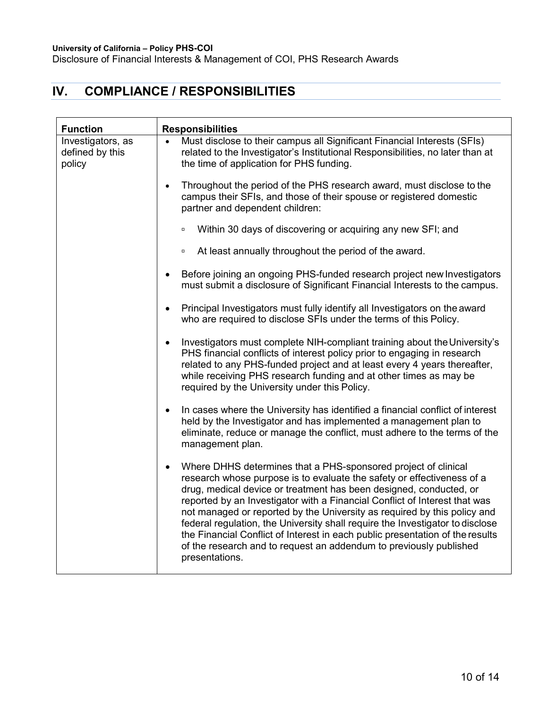Disclosure of Financial Interests & Management of COI, PHS Research Awards

## <span id="page-9-0"></span>**IV. COMPLIANCE / RESPONSIBILITIES**

| <b>Function</b>                                | <b>Responsibilities</b>                                                                                                                                                                                                                                                                                                                                                                                                                                                                                                                                                                                                                         |  |  |
|------------------------------------------------|-------------------------------------------------------------------------------------------------------------------------------------------------------------------------------------------------------------------------------------------------------------------------------------------------------------------------------------------------------------------------------------------------------------------------------------------------------------------------------------------------------------------------------------------------------------------------------------------------------------------------------------------------|--|--|
| Investigators, as<br>defined by this<br>policy | Must disclose to their campus all Significant Financial Interests (SFIs)<br>$\bullet$<br>related to the Investigator's Institutional Responsibilities, no later than at<br>the time of application for PHS funding.                                                                                                                                                                                                                                                                                                                                                                                                                             |  |  |
|                                                | Throughout the period of the PHS research award, must disclose to the<br>$\bullet$<br>campus their SFIs, and those of their spouse or registered domestic<br>partner and dependent children:                                                                                                                                                                                                                                                                                                                                                                                                                                                    |  |  |
|                                                | Within 30 days of discovering or acquiring any new SFI; and<br>$\Box$                                                                                                                                                                                                                                                                                                                                                                                                                                                                                                                                                                           |  |  |
|                                                | At least annually throughout the period of the award.<br>$\Box$                                                                                                                                                                                                                                                                                                                                                                                                                                                                                                                                                                                 |  |  |
|                                                | Before joining an ongoing PHS-funded research project new Investigators<br>$\bullet$<br>must submit a disclosure of Significant Financial Interests to the campus.                                                                                                                                                                                                                                                                                                                                                                                                                                                                              |  |  |
|                                                | Principal Investigators must fully identify all Investigators on the award<br>$\bullet$<br>who are required to disclose SFIs under the terms of this Policy.                                                                                                                                                                                                                                                                                                                                                                                                                                                                                    |  |  |
|                                                | Investigators must complete NIH-compliant training about the University's<br>$\bullet$<br>PHS financial conflicts of interest policy prior to engaging in research<br>related to any PHS-funded project and at least every 4 years thereafter,<br>while receiving PHS research funding and at other times as may be<br>required by the University under this Policy.                                                                                                                                                                                                                                                                            |  |  |
|                                                | In cases where the University has identified a financial conflict of interest<br>$\bullet$<br>held by the Investigator and has implemented a management plan to<br>eliminate, reduce or manage the conflict, must adhere to the terms of the<br>management plan.                                                                                                                                                                                                                                                                                                                                                                                |  |  |
|                                                | Where DHHS determines that a PHS-sponsored project of clinical<br>$\bullet$<br>research whose purpose is to evaluate the safety or effectiveness of a<br>drug, medical device or treatment has been designed, conducted, or<br>reported by an Investigator with a Financial Conflict of Interest that was<br>not managed or reported by the University as required by this policy and<br>federal regulation, the University shall require the Investigator to disclose<br>the Financial Conflict of Interest in each public presentation of the results<br>of the research and to request an addendum to previously published<br>presentations. |  |  |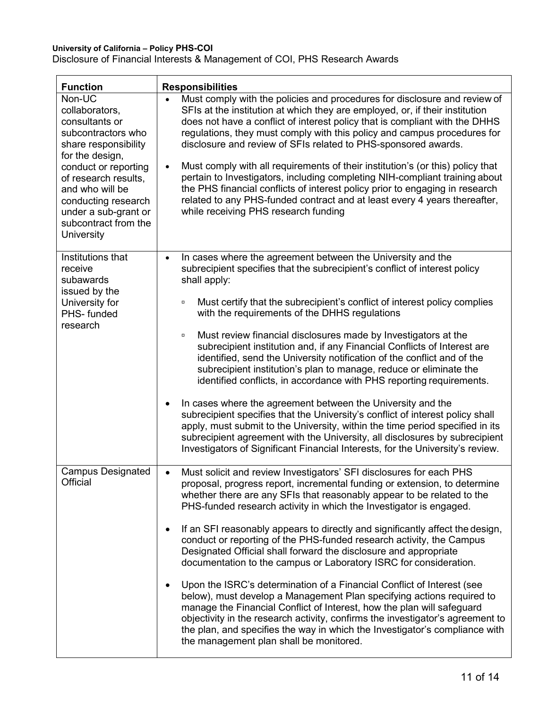Disclosure of Financial Interests & Management of COI, PHS Research Awards

| <b>Function</b>                                                                                                                                                                                                                                                     | <b>Responsibilities</b>                                                                                                                                                                                                                                                                                                                                                                                                                                                                                                                                                                                                                                                                                                                                                                                                                                                                                                                                                                                                                                                                                         |  |  |  |
|---------------------------------------------------------------------------------------------------------------------------------------------------------------------------------------------------------------------------------------------------------------------|-----------------------------------------------------------------------------------------------------------------------------------------------------------------------------------------------------------------------------------------------------------------------------------------------------------------------------------------------------------------------------------------------------------------------------------------------------------------------------------------------------------------------------------------------------------------------------------------------------------------------------------------------------------------------------------------------------------------------------------------------------------------------------------------------------------------------------------------------------------------------------------------------------------------------------------------------------------------------------------------------------------------------------------------------------------------------------------------------------------------|--|--|--|
| Non-UC<br>collaborators,<br>consultants or<br>subcontractors who<br>share responsibility<br>for the design,<br>conduct or reporting<br>of research results,<br>and who will be<br>conducting research<br>under a sub-grant or<br>subcontract from the<br>University | Must comply with the policies and procedures for disclosure and review of<br>$\bullet$<br>SFIs at the institution at which they are employed, or, if their institution<br>does not have a conflict of interest policy that is compliant with the DHHS<br>regulations, they must comply with this policy and campus procedures for<br>disclosure and review of SFIs related to PHS-sponsored awards.<br>Must comply with all requirements of their institution's (or this) policy that<br>$\bullet$<br>pertain to Investigators, including completing NIH-compliant training about<br>the PHS financial conflicts of interest policy prior to engaging in research<br>related to any PHS-funded contract and at least every 4 years thereafter,<br>while receiving PHS research funding                                                                                                                                                                                                                                                                                                                          |  |  |  |
| Institutions that<br>receive<br>subawards<br>issued by the<br>University for<br>PHS-funded<br>research                                                                                                                                                              | In cases where the agreement between the University and the<br>$\bullet$<br>subrecipient specifies that the subrecipient's conflict of interest policy<br>shall apply:<br>Must certify that the subrecipient's conflict of interest policy complies<br>$\Box$<br>with the requirements of the DHHS regulations<br>Must review financial disclosures made by Investigators at the<br>$\Box$<br>subrecipient institution and, if any Financial Conflicts of Interest are<br>identified, send the University notification of the conflict and of the<br>subrecipient institution's plan to manage, reduce or eliminate the<br>identified conflicts, in accordance with PHS reporting requirements.<br>In cases where the agreement between the University and the<br>$\bullet$<br>subrecipient specifies that the University's conflict of interest policy shall<br>apply, must submit to the University, within the time period specified in its<br>subrecipient agreement with the University, all disclosures by subrecipient<br>Investigators of Significant Financial Interests, for the University's review. |  |  |  |
| <b>Campus Designated</b><br>Official                                                                                                                                                                                                                                | Must solicit and review Investigators' SFI disclosures for each PHS<br>proposal, progress report, incremental funding or extension, to determine<br>whether there are any SFIs that reasonably appear to be related to the<br>PHS-funded research activity in which the Investigator is engaged.<br>If an SFI reasonably appears to directly and significantly affect the design,<br>$\bullet$<br>conduct or reporting of the PHS-funded research activity, the Campus<br>Designated Official shall forward the disclosure and appropriate<br>documentation to the campus or Laboratory ISRC for consideration.<br>Upon the ISRC's determination of a Financial Conflict of Interest (see<br>$\bullet$<br>below), must develop a Management Plan specifying actions required to<br>manage the Financial Conflict of Interest, how the plan will safeguard<br>objectivity in the research activity, confirms the investigator's agreement to<br>the plan, and specifies the way in which the Investigator's compliance with<br>the management plan shall be monitored.                                           |  |  |  |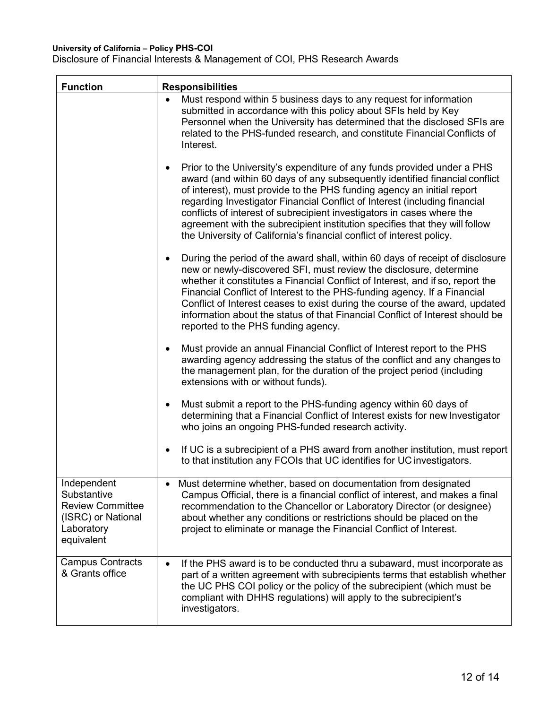Disclosure of Financial Interests & Management of COI, PHS Research Awards

| <b>Function</b><br><b>Responsibilities</b>                                                              |                                                                                                                                                                                                                                                                                                                                                                                                                                                                                                                                                       |
|---------------------------------------------------------------------------------------------------------|-------------------------------------------------------------------------------------------------------------------------------------------------------------------------------------------------------------------------------------------------------------------------------------------------------------------------------------------------------------------------------------------------------------------------------------------------------------------------------------------------------------------------------------------------------|
|                                                                                                         | Must respond within 5 business days to any request for information<br>$\bullet$<br>submitted in accordance with this policy about SFIs held by Key<br>Personnel when the University has determined that the disclosed SFIs are<br>related to the PHS-funded research, and constitute Financial Conflicts of<br>Interest.                                                                                                                                                                                                                              |
|                                                                                                         | Prior to the University's expenditure of any funds provided under a PHS<br>٠<br>award (and within 60 days of any subsequently identified financial conflict<br>of interest), must provide to the PHS funding agency an initial report<br>regarding Investigator Financial Conflict of Interest (including financial<br>conflicts of interest of subrecipient investigators in cases where the<br>agreement with the subrecipient institution specifies that they will follow<br>the University of California's financial conflict of interest policy. |
|                                                                                                         | During the period of the award shall, within 60 days of receipt of disclosure<br>$\bullet$<br>new or newly-discovered SFI, must review the disclosure, determine<br>whether it constitutes a Financial Conflict of Interest, and if so, report the<br>Financial Conflict of Interest to the PHS-funding agency. If a Financial<br>Conflict of Interest ceases to exist during the course of the award, updated<br>information about the status of that Financial Conflict of Interest should be<br>reported to the PHS funding agency.                |
|                                                                                                         | Must provide an annual Financial Conflict of Interest report to the PHS<br>$\bullet$<br>awarding agency addressing the status of the conflict and any changes to<br>the management plan, for the duration of the project period (including<br>extensions with or without funds).                                                                                                                                                                                                                                                                      |
|                                                                                                         | Must submit a report to the PHS-funding agency within 60 days of<br>$\bullet$<br>determining that a Financial Conflict of Interest exists for new Investigator<br>who joins an ongoing PHS-funded research activity.                                                                                                                                                                                                                                                                                                                                  |
|                                                                                                         | If UC is a subrecipient of a PHS award from another institution, must report<br>$\bullet$<br>to that institution any FCOIs that UC identifies for UC investigators.                                                                                                                                                                                                                                                                                                                                                                                   |
| Independent<br>Substantive<br><b>Review Committee</b><br>(ISRC) or National<br>Laboratory<br>equivalent | Must determine whether, based on documentation from designated<br>Campus Official, there is a financial conflict of interest, and makes a final<br>recommendation to the Chancellor or Laboratory Director (or designee)<br>about whether any conditions or restrictions should be placed on the<br>project to eliminate or manage the Financial Conflict of Interest.                                                                                                                                                                                |
| <b>Campus Contracts</b><br>& Grants office                                                              | If the PHS award is to be conducted thru a subaward, must incorporate as<br>$\bullet$<br>part of a written agreement with subrecipients terms that establish whether<br>the UC PHS COI policy or the policy of the subrecipient (which must be<br>compliant with DHHS regulations) will apply to the subrecipient's<br>investigators.                                                                                                                                                                                                                 |

٦Ì,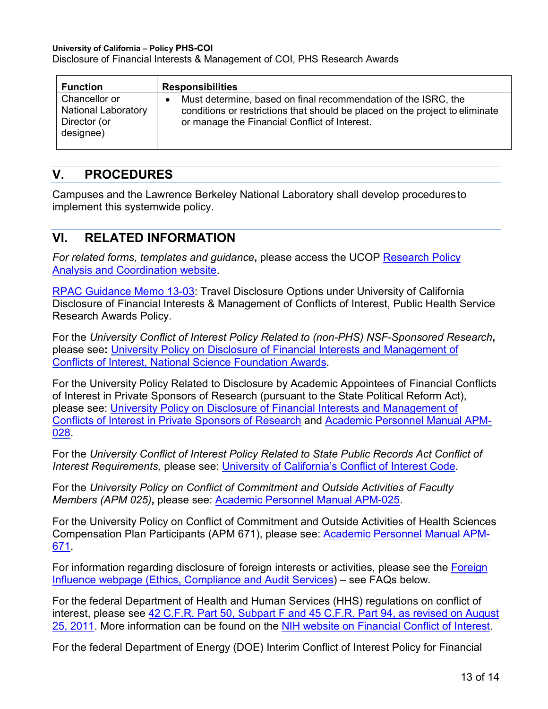Disclosure of Financial Interests & Management of COI, PHS Research Awards

| <b>Function</b>                                                          | <b>Responsibilities</b> |                                                                                                                                                                                                 |
|--------------------------------------------------------------------------|-------------------------|-------------------------------------------------------------------------------------------------------------------------------------------------------------------------------------------------|
| Chancellor or<br><b>National Laboratory</b><br>Director (or<br>designee) | $\bullet$               | Must determine, based on final recommendation of the ISRC, the<br>conditions or restrictions that should be placed on the project to eliminate<br>or manage the Financial Conflict of Interest. |

## <span id="page-12-0"></span>**V. PROCEDURES**

Campuses and the Lawrence Berkeley National Laboratory shall develop procedures to implement this systemwide policy.

## <span id="page-12-1"></span>**VI. RELATED INFORMATION**

*For related forms, templates and guidance***,** please access the UCOP [Research Policy](https://www.ucop.edu/research-policy-analysis-coordination/policies-guidance/conflict-of-interest/)  [Analysis and Coordination website.](https://www.ucop.edu/research-policy-analysis-coordination/policies-guidance/conflict-of-interest/)

[RPAC Guidance Memo 13-03:](https://researchmemos.ucop.edu/index.php/site/memoDetail/memo_id/RPAC-13-03) Travel Disclosure Options under University of California Disclosure of Financial Interests & Management of Conflicts of Interest, Public Health Service Research Awards Policy.

For the *University Conflict of Interest Policy Related to (non-PHS) NSF-Sponsored Research***,**  please see**:** [University Policy on Disclosure of Financial Interests and](https://policy.ucop.edu/doc/2500633/NSFCOIDisclosure) Management of [Conflicts of Interest, National Science Foundation Awards.](https://policy.ucop.edu/doc/2500633/NSFCOIDisclosure)

For the University Policy Related to Disclosure by Academic Appointees of Financial Conflicts of Interest in Private Sponsors of Research (pursuant to the State Political Reform Act), please see: [University Policy on Disclosure of Financial Interests and Management of](https://policy.ucop.edu/doc/2000678/COI-700-U)  [Conflicts of Interest in Private Sponsors of Research](https://policy.ucop.edu/doc/2000678/COI-700-U) and [Academic Personnel Manual APM-](https://ucop.edu/academic-personnel-programs/_files/apm/apm-028.pdf)[028.](https://ucop.edu/academic-personnel-programs/_files/apm/apm-028.pdf)

For the *University Conflict of Interest Policy Related to State Public Records Act Conflict of Interest Requirements,* please see: [University of California's Conflict of](https://www.ucop.edu/uc-legal/legal-resources/conflict-of-interest-code.html) Interest Code.

For the *University Policy on Conflict of Commitment and Outside Activities of Faculty Members (APM 025)***,** please see: [Academic Personnel Manual APM-025.](https://www.ucop.edu/academic-personnel-programs/_files/apm/apm-025.pdf)

For the University Policy on Conflict of Commitment and Outside Activities of Health Sciences Compensation Plan Participants (APM 671), please see: [Academic Personnel Manual APM-](https://www.ucop.edu/academic-personnel-programs/_files/apm/apm-671.pdf)[671.](https://www.ucop.edu/academic-personnel-programs/_files/apm/apm-671.pdf)

For information regarding disclosure of foreign interests or activities, please see the [Foreign](https://www.ucop.edu/ethics-compliance-audit-services/compliance/research-compliance/foreign-influence.html)  [Influence webpage \(Ethics, Compliance and Audit Services\)](https://www.ucop.edu/ethics-compliance-audit-services/compliance/research-compliance/foreign-influence.html) – see FAQs below.

For the federal Department of Health and Human Services (HHS) regulations on conflict of interest, please see [42 C.F.R. Part 50, Subpart F and 45 C.F.R. Part 94, as revised on August](https://www.govinfo.gov/content/pkg/FR-2011-08-25/pdf/2011-21633.pdf)  [25, 2011.](https://www.govinfo.gov/content/pkg/FR-2011-08-25/pdf/2011-21633.pdf) More information can be found on the [NIH website on Financial Conflict of Interest.](https://grants.nih.gov/grants/policy/coi/index.htm)

For the federal Department of Energy (DOE) Interim Conflict of Interest Policy for Financial